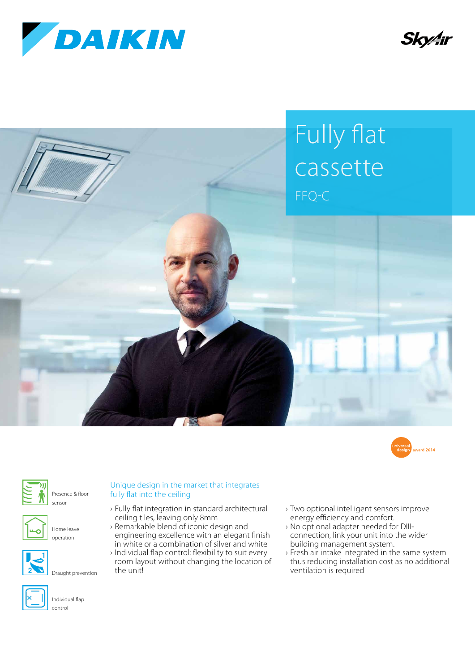









Presence & floor sensor



Home leave operation



Draught prevention



- › Fully flat integration in standard architectural ceiling tiles, leaving only 8mm
- › Remarkable blend of iconic design and engineering excellence with an elegant finish in white or a combination of silver and white
- › Individual flap control: flexibility to suit every room layout without changing the location of the unit!
- › Two optional intelligent sensors improve energy efficiency and comfort.
- › No optional adapter needed for DIIIconnection, link your unit into the wider building management system.
- › Fresh air intake integrated in the same system thus reducing installation cost as no additional ventilation is required



Individual flap control